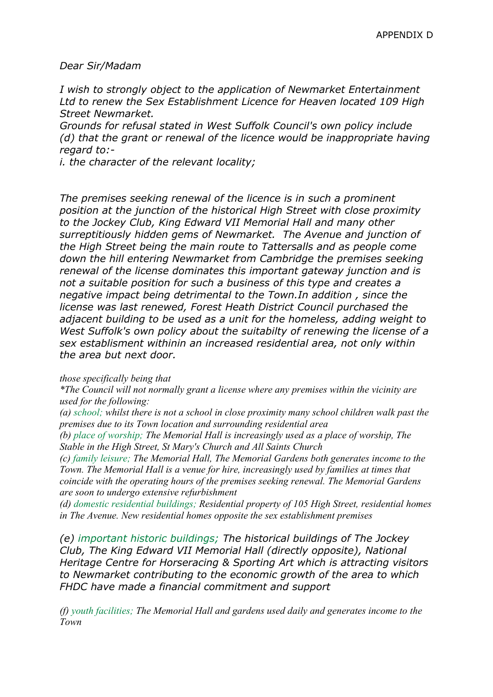*Dear Sir/Madam*

*I wish to strongly object to the application of Newmarket Entertainment Ltd to renew the Sex Establishment Licence for Heaven located 109 High Street Newmarket.*

*Grounds for refusal stated in West Suffolk Council's own policy include (d) that the grant or renewal of the licence would be inappropriate having regard to:-*

*i. the character of the relevant locality;*

*The premises seeking renewal of the licence is in such a prominent position at the junction of the historical High Street with close proximity to the Jockey Club, King Edward VII Memorial Hall and many other surreptitiously hidden gems of Newmarket. The Avenue and junction of the High Street being the main route to Tattersalls and as people come down the hill entering Newmarket from Cambridge the premises seeking renewal of the license dominates this important gateway junction and is not a suitable position for such a business of this type and creates a negative impact being detrimental to the Town.In addition , since the license was last renewed, Forest Heath District Council purchased the adjacent building to be used as a unit for the homeless, adding weight to West Suffolk's own policy about the suitabilty of renewing the license of a sex establisment withinin an increased residential area, not only within the area but next door.*

## *those specifically being that*

*\*The Council will not normally grant a license where any premises within the vicinity are used for the following:*

*(a) school; whilst there is not a school in close proximity many school children walk past the premises due to its Town location and surrounding residential area*

*(b) place of worship; The Memorial Hall is increasingly used as a place of worship, The Stable in the High Street, St Mary's Church and All Saints Church*

*(c) family leisure; The Memorial Hall, The Memorial Gardens both generates income to the Town. The Memorial Hall is a venue for hire, increasingly used by families at times that coincide with the operating hours of the premises seeking renewal. The Memorial Gardens are soon to undergo extensive refurbishment*

*(d) domestic residential buildings; Residential property of 105 High Street, residential homes in The Avenue. New residential homes opposite the sex establishment premises*

*(e) important historic buildings; The historical buildings of The Jockey Club, The King Edward VII Memorial Hall (directly opposite), National Heritage Centre for Horseracing & Sporting Art which is attracting visitors to Newmarket contributing to the economic growth of the area to which FHDC have made a financial commitment and support*

*(f) youth facilities; The Memorial Hall and gardens used daily and generates income to the Town*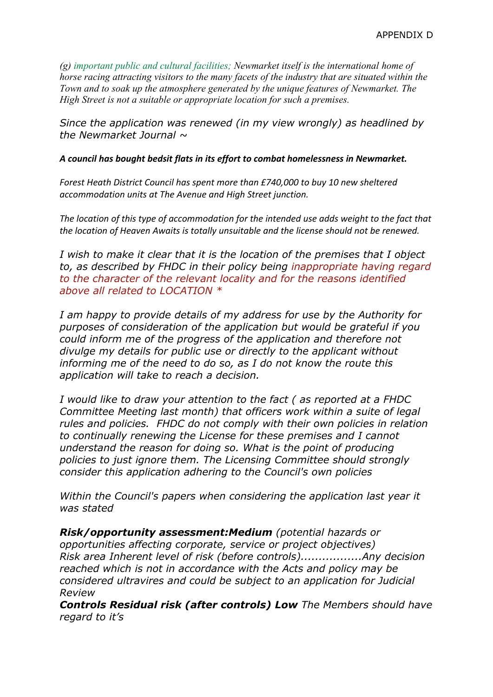*(g) important public and cultural facilities; Newmarket itself is the international home of horse racing attracting visitors to the many facets of the industry that are situated within the Town and to soak up the atmosphere generated by the unique features of Newmarket. The High Street is not a suitable or appropriate location for such a premises.*

*Since the application was renewed (in my view wrongly) as headlined by the Newmarket Journal ~*

## *A council has bought bedsit flats in its effort to combat homelessness in Newmarket.*

*Forest Heath District Council has spent more than £740,000 to buy 10 new sheltered accommodation units at The Avenue and High Street junction.*

*The location of this type of accommodation for the intended use adds weight to the fact that the location of Heaven Awaits is totally unsuitable and the license should not be renewed.*

*I wish to make it clear that it is the location of the premises that I object to, as described by FHDC in their policy being inappropriate having regard to the character of the relevant locality and for the reasons identified above all related to LOCATION \**

*I am happy to provide details of my address for use by the Authority for purposes of consideration of the application but would be grateful if you could inform me of the progress of the application and therefore not divulge my details for public use or directly to the applicant without informing me of the need to do so, as I do not know the route this application will take to reach a decision.*

*I would like to draw your attention to the fact ( as reported at a FHDC Committee Meeting last month) that officers work within a suite of legal rules and policies. FHDC do not comply with their own policies in relation to continually renewing the License for these premises and I cannot understand the reason for doing so. What is the point of producing policies to just ignore them. The Licensing Committee should strongly consider this application adhering to the Council's own policies*

*Within the Council's papers when considering the application last year it was stated*

*Risk/opportunity assessment:Medium (potential hazards or opportunities affecting corporate, service or project objectives) Risk area Inherent level of risk (before controls).................Any decision reached which is not in accordance with the Acts and policy may be considered ultravires and could be subject to an application for Judicial Review*

*Controls Residual risk (after controls) Low The Members should have regard to it's*